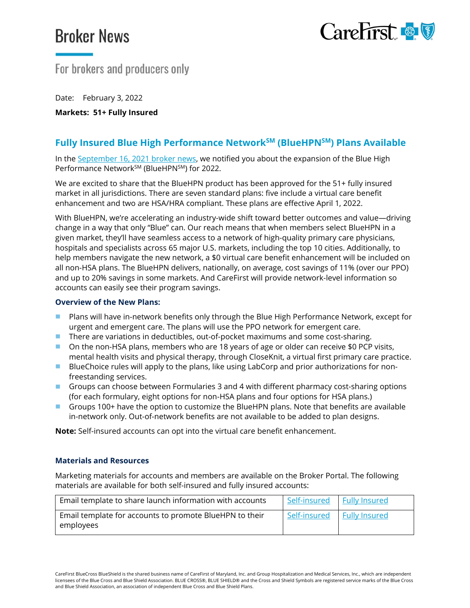# **Broker News**



## For brokers and producers only

Date: February 3, 2022

**Markets: 51+ Fully Insured**

### **Fully Insured Blue High Performance NetworkSM (BlueHPNSM) Plans Available**

In the [September 16, 2021](https://broker.carefirst.com/carefirst-resources/salesflash-2021/broker-sales-flash-20210916c.pdf) broker news, we notified you about the expansion of the Blue High Performance Network<sup>SM</sup> (BlueHPN<sup>SM</sup>) for 2022.

We are excited to share that the BlueHPN product has been approved for the 51+ fully insured market in all jurisdictions. There are seven standard plans: five include a virtual care benefit enhancement and two are HSA/HRA compliant. These plans are effective April 1, 2022.

With BlueHPN, we're accelerating an industry-wide shift toward better outcomes and value—driving change in a way that only "Blue" can. Our reach means that when members select BlueHPN in a given market, they'll have seamless access to a network of high-quality primary care physicians, hospitals and specialists across 65 major U.S. markets, including the top 10 cities. Additionally, to help members navigate the new network, a \$0 virtual care benefit enhancement will be included on all non-HSA plans. The BlueHPN delivers, nationally, on average, cost savings of 11% (over our PPO) and up to 20% savings in some markets. And CareFirst will provide network-level information so accounts can easily see their program savings.

#### **Overview of the New Plans:**

- **Plans will have in-network benefits only through the Blue High Performance Network, except for** urgent and emergent care. The plans will use the PPO network for emergent care.
- **There are variations in deductibles, out-of-pocket maximums and some cost-sharing.**
- On the non-HSA plans, members who are 18 years of age or older can receive \$0 PCP visits, mental health visits and physical therapy, through CloseKnit, a virtual first primary care practice.
- **BlueChoice rules will apply to the plans, like using LabCorp and prior authorizations for non**freestanding services.
- Groups can choose between Formularies 3 and 4 with different pharmacy cost-sharing options (for each formulary, eight options for non-HSA plans and four options for HSA plans.)
- Groups 100+ have the option to customize the BlueHPN plans. Note that benefits are available in-network only. Out-of-network benefits are not available to be added to plan designs.

**Note:** Self-insured accounts can opt into the virtual care benefit enhancement.

#### **Materials and Resources**

Marketing materials for accounts and members are available on the Broker Portal. The following materials are available for both self-insured and fully insured accounts:

| Email template to share launch information with accounts             | Self-insured | <b>Fully Insured</b> |
|----------------------------------------------------------------------|--------------|----------------------|
| Email template for accounts to promote BlueHPN to their<br>employees | Self-insured | <b>Fully Insured</b> |